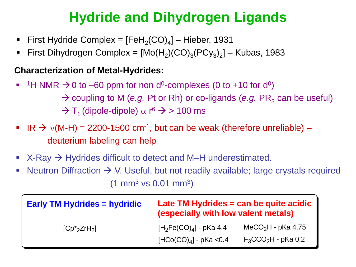## **Hydride and Dihydrogen Ligands**

- **First Hydride Complex =**  $[FeH_2(CO)_4]$  **Hieber, 1931**
- First Dihydrogen Complex =  $[Mo(H_2)(CO)_3(PCy_3)_2]$  Kubas, 1983

#### **Characterization of Metal-Hydrides:**

- <sup>1</sup>H NMR  $\rightarrow$  0 to –60 ppm for non d<sup>0</sup>-complexes (0 to +10 for d<sup>0</sup>)  $\rightarrow$  coupling to M (*e.g.* Pt or Rh) or co-ligands (*e.g.* PR<sub>3</sub> can be useful)  $\rightarrow$  T<sub>1</sub> (dipole-dipole)  $\alpha$  r<sup>6</sup>  $\rightarrow$  > 100 ms
- IR  $\rightarrow$   $v(M-H) = 2200-1500$  cm<sup>-1</sup>, but can be weak (therefore unreliable) deuterium labeling can help
- $X-Ray$   $\rightarrow$  Hydrides difficult to detect and M–H underestimated.
- **■** Neutron Diffraction  $\rightarrow$  V. Useful, but not readily available; large crystals required  $(1 \text{ mm}^3 \text{ vs } 0.01 \text{ mm}^3)$

| <b>Early TM Hydrides = hydridic</b> | Late TM Hydrides = can be quite acidic<br>(especially with low valent metals) |                                                            |
|-------------------------------------|-------------------------------------------------------------------------------|------------------------------------------------------------|
| $[Cp^*_{2}ZrH_{2}]$                 | $[H2Fe(CO)4]$ - pKa 4.4<br>$[HCo(CO)4] - pKa < 0.4$                           | MeCO <sub>2</sub> H - $p$ Ka 4.75<br>$F_3CCO_2H$ - pKa 0.2 |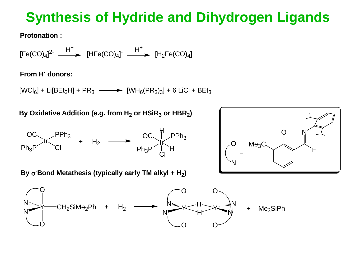## **Synthesis of Hydride and Dihydrogen Ligands**

**Protonation :**

 $[Fe(CO)<sub>4</sub>]$ <sup>2-</sup>  $\longrightarrow$   $[HFe(CO)<sub>4</sub>]$ <sup>-</sup>  $\longrightarrow$   $[H<sub>2</sub>Fe(CO)<sub>4</sub>]$  $H^+$   $H^+$   $H^+$ 

#### **From H - donors:**

 $[WCI_6] + Li[BEt_3H] + PR_3 \longrightarrow [WH_6(PR_3)_3] + 6 LiCl + BEt_3$ 

**By Oxidative Addition (e.g. from H<sup>2</sup> or HSiR<sup>3</sup> or HBR2)**



O N =  $Me<sub>3</sub>C<sub>3</sub>$ O H N